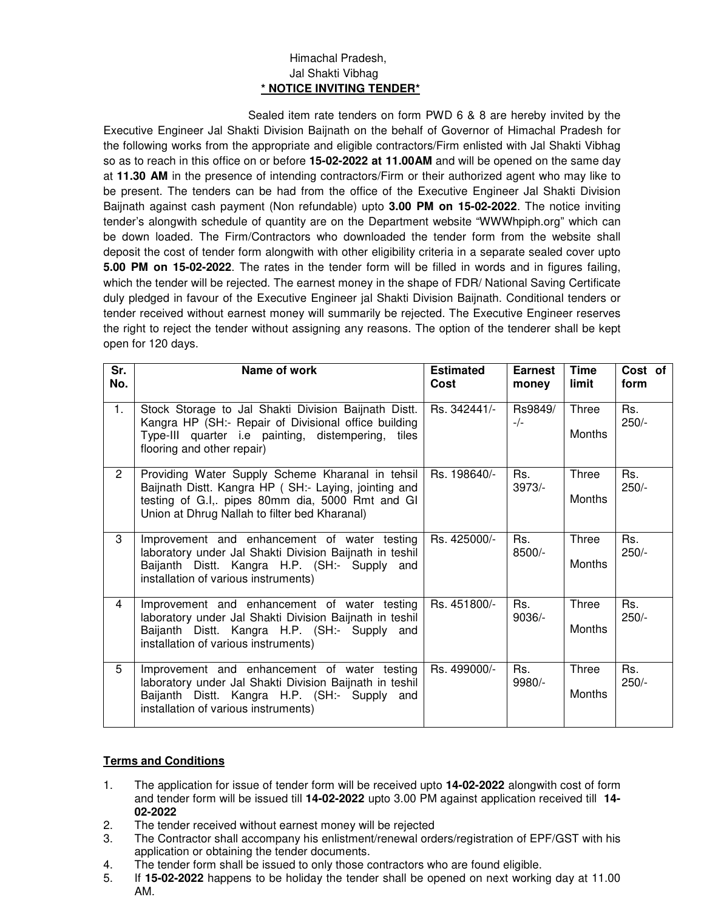## Himachal Pradesh, Jal Shakti Vibhag **\* NOTICE INVITING TENDER\***

 Sealed item rate tenders on form PWD 6 & 8 are hereby invited by the Executive Engineer Jal Shakti Division Baijnath on the behalf of Governor of Himachal Pradesh for the following works from the appropriate and eligible contractors/Firm enlisted with Jal Shakti Vibhag so as to reach in this office on or before **15-02-2022 at 11.00AM** and will be opened on the same day at **11.30 AM** in the presence of intending contractors/Firm or their authorized agent who may like to be present. The tenders can be had from the office of the Executive Engineer Jal Shakti Division Baijnath against cash payment (Non refundable) upto **3.00 PM on 15-02-2022**. The notice inviting tender's alongwith schedule of quantity are on the Department website "WWWhpiph.org" which can be down loaded. The Firm/Contractors who downloaded the tender form from the website shall deposit the cost of tender form alongwith with other eligibility criteria in a separate sealed cover upto **5.00 PM on 15-02-2022**. The rates in the tender form will be filled in words and in figures failing, which the tender will be rejected. The earnest money in the shape of FDR/ National Saving Certificate duly pledged in favour of the Executive Engineer jal Shakti Division Baijnath. Conditional tenders or tender received without earnest money will summarily be rejected. The Executive Engineer reserves the right to reject the tender without assigning any reasons. The option of the tenderer shall be kept open for 120 days.

| Sr.<br>No.     | Name of work                                                                                                                                                                                                  | <b>Estimated</b><br>Cost | <b>Earnest</b><br>money | <b>Time</b><br>limit | Cost of<br>form |
|----------------|---------------------------------------------------------------------------------------------------------------------------------------------------------------------------------------------------------------|--------------------------|-------------------------|----------------------|-----------------|
| 1.             | Stock Storage to Jal Shakti Division Baijnath Distt.<br>Kangra HP (SH:- Repair of Divisional office building<br>Type-III quarter i.e painting, distempering, tiles<br>flooring and other repair)              | Rs. 342441/-             | Rs9849/<br>$-/-$        | Three<br>Months      | Rs.<br>$250/-$  |
| $\overline{2}$ | Providing Water Supply Scheme Kharanal in tehsil<br>Baijnath Distt. Kangra HP (SH:- Laying, jointing and<br>testing of G.I,. pipes 80mm dia, 5000 Rmt and GI<br>Union at Dhrug Nallah to filter bed Kharanal) | Rs. 198640/-             | Rs.<br>3973/-           | Three<br>Months      | Rs.<br>$250/-$  |
| 3              | Improvement and enhancement of water testing<br>laboratory under Jal Shakti Division Baijnath in teshil<br>Baijanth Distt. Kangra H.P. (SH:- Supply and<br>installation of various instruments)               | Rs. 425000/-             | Rs.<br>8500/-           | Three<br>Months      | Rs.<br>$250/-$  |
| 4              | Improvement and enhancement of water testing<br>laboratory under Jal Shakti Division Baijnath in teshil<br>Baijanth Distt. Kangra H.P. (SH:- Supply and<br>installation of various instruments)               | Rs. 451800/-             | Rs.<br>$9036/-$         | Three<br>Months      | Rs.<br>$250/-$  |
| 5              | Improvement and enhancement of water testing<br>laboratory under Jal Shakti Division Baijnath in teshil<br>Baijanth Distt. Kangra H.P. (SH:- Supply and<br>installation of various instruments)               | Rs. 499000/-             | Rs.<br>9980/-           | Three<br>Months      | Rs.<br>$250/-$  |

## **Terms and Conditions**

- 1. The application for issue of tender form will be received upto **14-02-2022** alongwith cost of form and tender form will be issued till **14-02-2022** upto 3.00 PM against application received till **14- 02-2022**
- 2. The tender received without earnest money will be rejected
- 3. The Contractor shall accompany his enlistment/renewal orders/registration of EPF/GST with his application or obtaining the tender documents.
- 4. The tender form shall be issued to only those contractors who are found eligible.
- 5. If **15-02-2022** happens to be holiday the tender shall be opened on next working day at 11.00 AM.